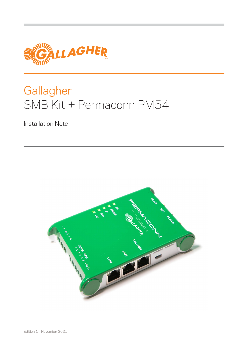

# **Gallagher** SMB Kit + Permaconn PM54

Installation Note

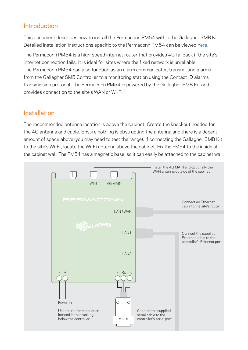### Introduction

This document describes how to install the Permaconn PM54 within the Gallagher SMB Kit. Detailed installation instructions specific to the Permaconn PM54 can be viewed [here](https://permaconn.com/installation-manuals/).

The Permaconn PM54 is a high-speed internet router that provides 4G fallback if the site's internet connection fails. It is ideal for sites where the fixed network is unreliable. The Permaconn PM54 can also function as an alarm communicator, transmitting alarms from the Gallagher SMB Controller to a monitoring station using the Contact ID alarms transmission protocol. The Permaconn PM54 is powered by the Gallagher SMB Kit and provides connection to the site's WAN or Wi-Fi.

#### Installation

The recommended antenna location is above the cabinet. Create the knockout needed for the 4G antenna and cable. Ensure nothing is obstructing the antenna and there is a decent amount of space above (you may need to test the range). If connecting the Gallagher SMB Kit to the site's Wi-Fi, locate the Wi-Fi antenna above the cabinet. Fix the PM54 to the inside of the cabinet wall. The PM54 has a magnetic base, so it can easily be attached to the cabinet wall.

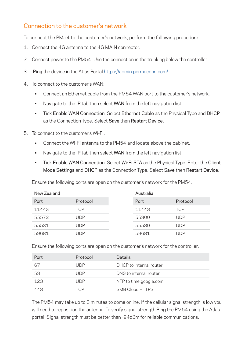#### Connection to the customer's network

To connect the PM54 to the customer's network, perform the following procedure:

- 1. Connect the 4G antenna to the 4G MAIN connector.
- 2. Connect power to the PM54. Use the connection in the trunking below the controller.
- 3. Ping the device in the Atlas Portal <https://admin.permaconn.com/>
- 4. To connect to the customer's WAN:
	- Connect an Ethernet cable from the PM54 WAN port to the customer's network.
	- Navigate to the IP tab then select WAN from the left navigation list.
	- Tick Enable WAN Connection. Select Ethernet Cable as the Physical Type and DHCP as the Connection Type. Select Save then Restart Device.
- 5. To connect to the customer's Wi-Fi:
	- Connect the Wi-Fi antenna to the PM54 and locate above the cabinet.
	- Navigate to the IP tab then select WAN from the left navigation list.
	- Tick Enable WAN Connection. Select Wi-Fi STA as the Physical Type. Enter the Client Mode Settings and DHCP as the Connection Type. Select Save then Restart Device.

Ensure the following ports are open on the customer's network for the PM54:

| New Zealand |            | Australia |       |            |
|-------------|------------|-----------|-------|------------|
| Port        | Protocol   |           | Port  | Protocol   |
| 11443       | <b>TCP</b> |           | 11443 | <b>TCP</b> |
| 55572       | l JDP.     |           | 55300 | UDP        |
| 55531       | UDP        |           | 55530 | UDP        |
| 59681       | . JDP      |           | 59681 | UDP        |

Ensure the following ports are open on the customer's network for the controller:

| Port | Protocol | <b>Details</b>          |
|------|----------|-------------------------|
| 67   | l IDP.   | DHCP to internal router |
| 53   | l IDP.   | DNS to internal router  |
| 123  | l IDP.   | NTP to time.google.com  |
| 443  | TCP      | <b>SMB Cloud HTTPS</b>  |

The PM54 may take up to 3 minutes to come online. If the cellular signal strength is low you will need to reposition the antenna. To verify signal strength Ping the PM54 using the Atlas portal. Signal strength must be better than -94dBm for reliable communications.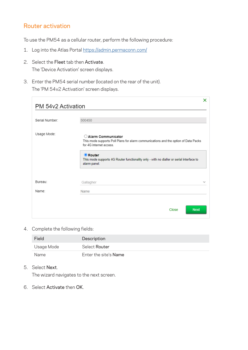#### Router activation

To use the PM54 as a cellular router, perform the following procedure:

- 1. Log into the Atlas Portal<https://admin.permaconn.com/>
- 2. Select the Fleet tab then Activate. The 'Device Activation' screen displays.
- 3. Enter the PM54 serial number (located on the rear of the unit). The 'PM 54v2 Activation' screen displays.

|                    | ×                                                                                                                                     |  |  |  |
|--------------------|---------------------------------------------------------------------------------------------------------------------------------------|--|--|--|
| PM 54v2 Activation |                                                                                                                                       |  |  |  |
| Serial Number:     | 500450                                                                                                                                |  |  |  |
|                    |                                                                                                                                       |  |  |  |
| Usage Mode:        | ○ Alarm Communicator<br>This mode supports Poll Plans for alarm communications and the option of Data Packs<br>for 4G internet access |  |  |  |
|                    | <b>O</b> Router<br>This mode supports 4G Router functionality only - with no dialler or serial interface to<br>alarm panel.           |  |  |  |
| Bureau:            | Gallagher<br>$\checkmark$                                                                                                             |  |  |  |
| Name:              | Name                                                                                                                                  |  |  |  |
|                    |                                                                                                                                       |  |  |  |
|                    | <b>Next</b><br>Close                                                                                                                  |  |  |  |

4. Complete the following fields:

| Field      | Description           |
|------------|-----------------------|
| Usage Mode | Select Router         |
| Name       | Enter the site's Name |

5. Select Next.

The wizard navigates to the next screen.

6. Select Activate then OK.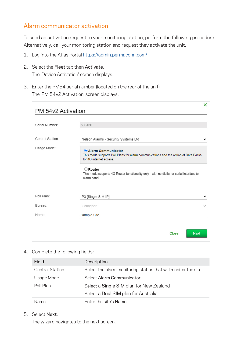#### Alarm communicator activation

To send an activation request to your monitoring station, perform the following procedure. Alternatively, call your monitoring station and request they activate the unit.

- 1. Log into the Atlas Portal<https://admin.permaconn.com/>
- 2. Select the Fleet tab then Activate. The 'Device Activation' screen displays.
- 3. Enter the PM54 serial number (located on the rear of the unit). The 'PM 54v2 Activation' screen displays.

| PM 54y2 Activation | ×                                                                                                                                    |  |  |  |
|--------------------|--------------------------------------------------------------------------------------------------------------------------------------|--|--|--|
|                    |                                                                                                                                      |  |  |  |
| Serial Number:     | 500450                                                                                                                               |  |  |  |
| Central Station:   | Nelson Alarms - Security Systems Ltd                                                                                                 |  |  |  |
| Usage Mode:        | Alarm Communicator<br>This mode supports Poll Plans for alarm communications and the option of Data Packs<br>for 4G internet access. |  |  |  |
|                    | $\bigcirc$ Router<br>This mode supports 4G Router functionality only - with no dialler or serial interface to<br>alarm panel.        |  |  |  |
| Poll Plan:         | P3 [Single SIM IP]                                                                                                                   |  |  |  |
| Bureau:            | Gallagher                                                                                                                            |  |  |  |
| Name:              | Sample Site                                                                                                                          |  |  |  |
|                    | <b>Next</b><br>Close                                                                                                                 |  |  |  |

4. Complete the following fields:

| Field                  | Description                                                    |  |
|------------------------|----------------------------------------------------------------|--|
| <b>Central Station</b> | Select the alarm monitoring station that will monitor the site |  |
| Usage Mode             | Select Alarm Communicator                                      |  |
| Poll Plan              | Select a Single SIM plan for New Zealand                       |  |
|                        | Select a Dual SIM plan for Australia                           |  |
| Name                   | Enter the site's Name                                          |  |

5. Select Next.

The wizard navigates to the next screen.